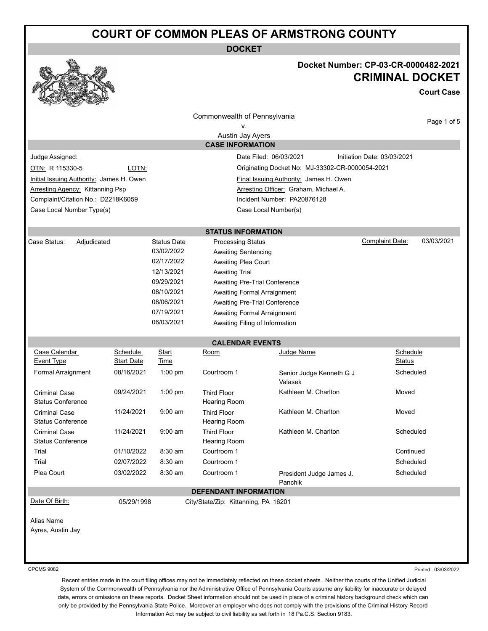# **COURT OF COMMON PLEAS OF ARMSTRONG COUNTY**

**DOCKET**



### **Docket Number: CP-03-CR-0000482-2021 CRIMINAL DOCKET**

**Court Case**

|                                                  |                               |                    | Commonwealth of Pennsylvania              |                                                 |                                      |  |  |  |  |
|--------------------------------------------------|-------------------------------|--------------------|-------------------------------------------|-------------------------------------------------|--------------------------------------|--|--|--|--|
|                                                  |                               |                    | v.                                        |                                                 | Page 1 of 5                          |  |  |  |  |
|                                                  |                               |                    | Austin Jay Ayers                          |                                                 |                                      |  |  |  |  |
| <b>CASE INFORMATION</b>                          |                               |                    |                                           |                                                 |                                      |  |  |  |  |
| Judge Assigned:                                  |                               |                    |                                           | Date Filed: 06/03/2021                          | Initiation Date: 03/03/2021          |  |  |  |  |
| OTN: R 115330-5                                  | LOTN:                         |                    |                                           | Originating Docket No: MJ-33302-CR-0000054-2021 |                                      |  |  |  |  |
| Initial Issuing Authority: James H. Owen         |                               |                    |                                           | Final Issuing Authority: James H. Owen          |                                      |  |  |  |  |
| <b>Arresting Agency: Kittanning Psp</b>          |                               |                    |                                           | Arresting Officer: Graham, Michael A.           |                                      |  |  |  |  |
| Complaint/Citation No.: D2218K6059               |                               |                    |                                           | Incident Number: PA20876128                     |                                      |  |  |  |  |
| Case Local Number Type(s)                        |                               |                    |                                           | Case Local Number(s)                            |                                      |  |  |  |  |
|                                                  |                               |                    |                                           |                                                 |                                      |  |  |  |  |
|                                                  |                               |                    | <b>STATUS INFORMATION</b>                 |                                                 |                                      |  |  |  |  |
| Case Status:<br>Adjudicated                      |                               | <b>Status Date</b> | <b>Processing Status</b>                  |                                                 | 03/03/2021<br><b>Complaint Date:</b> |  |  |  |  |
|                                                  |                               | 03/02/2022         | <b>Awaiting Sentencing</b>                |                                                 |                                      |  |  |  |  |
|                                                  |                               | 02/17/2022         | Awaiting Plea Court                       |                                                 |                                      |  |  |  |  |
|                                                  |                               | 12/13/2021         | <b>Awaiting Trial</b>                     |                                                 |                                      |  |  |  |  |
|                                                  |                               | 09/29/2021         | Awaiting Pre-Trial Conference             |                                                 |                                      |  |  |  |  |
|                                                  |                               | 08/10/2021         | <b>Awaiting Formal Arraignment</b>        |                                                 |                                      |  |  |  |  |
|                                                  |                               | 08/06/2021         | Awaiting Pre-Trial Conference             |                                                 |                                      |  |  |  |  |
|                                                  |                               | 07/19/2021         | <b>Awaiting Formal Arraignment</b>        |                                                 |                                      |  |  |  |  |
|                                                  |                               | 06/03/2021         | Awaiting Filing of Information            |                                                 |                                      |  |  |  |  |
|                                                  |                               |                    |                                           |                                                 |                                      |  |  |  |  |
|                                                  |                               |                    | <b>CALENDAR EVENTS</b>                    |                                                 |                                      |  |  |  |  |
| Case Calendar<br><b>Event Type</b>               | Schedule<br><b>Start Date</b> | Start<br>Time      | Room                                      | Judge Name                                      | Schedule<br><b>Status</b>            |  |  |  |  |
| Formal Arraignment                               | 08/16/2021                    | $1:00$ pm          | Courtroom 1                               |                                                 | Scheduled                            |  |  |  |  |
|                                                  |                               |                    |                                           | Senior Judge Kenneth G J<br>Valasek             |                                      |  |  |  |  |
| <b>Criminal Case</b><br><b>Status Conference</b> | 09/24/2021                    | $1:00$ pm          | <b>Third Floor</b><br>Hearing Room        | Kathleen M. Charlton                            | Moved                                |  |  |  |  |
| <b>Criminal Case</b>                             | 11/24/2021                    | $9:00$ am          | <b>Third Floor</b>                        | Kathleen M. Charlton                            | Moved                                |  |  |  |  |
| <b>Status Conference</b>                         |                               |                    | Hearing Room                              |                                                 |                                      |  |  |  |  |
| <b>Criminal Case</b><br><b>Status Conference</b> | 11/24/2021                    | $9:00 \text{ am}$  | <b>Third Floor</b><br><b>Hearing Room</b> | Kathleen M. Charlton                            | Scheduled                            |  |  |  |  |
| Trial                                            | 01/10/2022                    | 8:30 am            | Courtroom 1                               |                                                 | Continued                            |  |  |  |  |
| Trial                                            | 02/07/2022                    | 8:30 am            | Courtroom 1                               |                                                 | Scheduled                            |  |  |  |  |
| Plea Court                                       | 03/02/2022                    | 8:30 am            | Courtroom 1                               | President Judge James J.                        | Scheduled                            |  |  |  |  |
|                                                  |                               |                    |                                           | Panchik                                         |                                      |  |  |  |  |
| <b>DEFENDANT INFORMATION</b>                     |                               |                    |                                           |                                                 |                                      |  |  |  |  |
| Date Of Birth:                                   | 05/29/1998                    |                    | City/State/Zip: Kittanning, PA 16201      |                                                 |                                      |  |  |  |  |
|                                                  |                               |                    |                                           |                                                 |                                      |  |  |  |  |
| <b>Alias Name</b>                                |                               |                    |                                           |                                                 |                                      |  |  |  |  |
| Ayres, Austin Jay                                |                               |                    |                                           |                                                 |                                      |  |  |  |  |
|                                                  |                               |                    |                                           |                                                 |                                      |  |  |  |  |
|                                                  |                               |                    |                                           |                                                 |                                      |  |  |  |  |
|                                                  |                               |                    |                                           |                                                 |                                      |  |  |  |  |

CPCMS 9082

Printed: 03/03/2022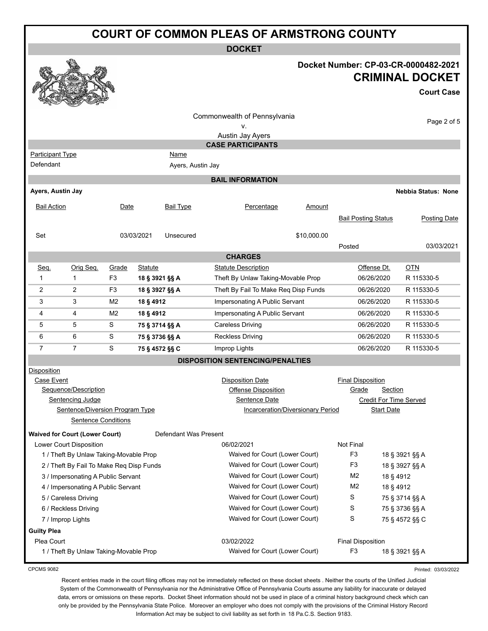|                                                                          |                                                                             |                |                                                                  |                                | <b>COURT OF COMMON PLEAS OF ARMSTRONG COUNTY</b>                |                                   |                                          |                              |                                                                                     |
|--------------------------------------------------------------------------|-----------------------------------------------------------------------------|----------------|------------------------------------------------------------------|--------------------------------|-----------------------------------------------------------------|-----------------------------------|------------------------------------------|------------------------------|-------------------------------------------------------------------------------------|
|                                                                          |                                                                             |                |                                                                  |                                | <b>DOCKET</b>                                                   |                                   |                                          |                              |                                                                                     |
|                                                                          |                                                                             |                |                                                                  |                                |                                                                 |                                   |                                          |                              | Docket Number: CP-03-CR-0000482-2021<br><b>CRIMINAL DOCKET</b><br><b>Court Case</b> |
|                                                                          |                                                                             |                |                                                                  |                                | Commonwealth of Pennsylvania<br>۷.<br>Austin Jay Ayers          |                                   |                                          |                              | Page 2 of 5                                                                         |
|                                                                          |                                                                             |                |                                                                  |                                | <b>CASE PARTICIPANTS</b>                                        |                                   |                                          |                              |                                                                                     |
| <b>Participant Type</b>                                                  |                                                                             |                |                                                                  | Name                           |                                                                 |                                   |                                          |                              |                                                                                     |
| Defendant                                                                |                                                                             |                |                                                                  | Ayers, Austin Jay              |                                                                 |                                   |                                          |                              |                                                                                     |
|                                                                          |                                                                             |                |                                                                  |                                | <b>BAIL INFORMATION</b>                                         |                                   |                                          |                              |                                                                                     |
| Ayers, Austin Jay                                                        |                                                                             |                |                                                                  |                                |                                                                 |                                   |                                          |                              | <b>Nebbia Status: None</b>                                                          |
| <b>Bail Action</b>                                                       |                                                                             | Date           |                                                                  | <b>Bail Type</b>               | Percentage                                                      | Amount                            |                                          |                              |                                                                                     |
|                                                                          |                                                                             |                |                                                                  |                                |                                                                 |                                   | <b>Bail Posting Status</b>               |                              | <b>Posting Date</b>                                                                 |
| Set                                                                      |                                                                             |                | 03/03/2021                                                       | Unsecured                      |                                                                 | \$10,000.00                       |                                          |                              |                                                                                     |
|                                                                          |                                                                             |                |                                                                  |                                |                                                                 |                                   | Posted                                   |                              | 03/03/2021                                                                          |
|                                                                          |                                                                             |                |                                                                  |                                | <b>CHARGES</b>                                                  |                                   |                                          |                              |                                                                                     |
| Seq.                                                                     | Orig Seq.                                                                   | Grade          | <b>Statute</b>                                                   |                                | <b>Statute Description</b>                                      |                                   | Offense Dt.                              |                              | <b>OTN</b>                                                                          |
| 1                                                                        | $\mathbf{1}$                                                                | F <sub>3</sub> | 18 § 3921 §§ A                                                   |                                | Theft By Unlaw Taking-Movable Prop                              |                                   | 06/26/2020                               |                              | R 115330-5                                                                          |
| 2                                                                        | 2                                                                           | F3             | 18 § 3927 §§ A                                                   |                                | Theft By Fail To Make Req Disp Funds                            |                                   | 06/26/2020                               |                              | R 115330-5                                                                          |
| 3                                                                        | 3                                                                           | M <sub>2</sub> | 18 § 4912                                                        |                                | Impersonating A Public Servant                                  |                                   | 06/26/2020                               |                              | R 115330-5                                                                          |
| 4                                                                        | 4                                                                           | M <sub>2</sub> | 18 § 4912                                                        |                                | Impersonating A Public Servant                                  |                                   | 06/26/2020                               |                              | R 115330-5                                                                          |
| 5                                                                        | 5                                                                           | S              | 75 § 3714 §§ A                                                   |                                | <b>Careless Driving</b>                                         |                                   | 06/26/2020                               |                              | R 115330-5                                                                          |
| 6                                                                        | 6                                                                           | S              | 75 § 3736 §§ A                                                   |                                | <b>Reckless Driving</b>                                         |                                   | 06/26/2020                               |                              | R 115330-5                                                                          |
| $\overline{7}$                                                           | $\overline{7}$                                                              | S              | 75 § 4572 §§ C                                                   |                                | Improp Lights                                                   |                                   | 06/26/2020                               |                              | R 115330-5                                                                          |
| Disposition                                                              |                                                                             |                |                                                                  |                                | <b>DISPOSITION SENTENCING/PENALTIES</b>                         |                                   |                                          |                              |                                                                                     |
| <b>Case Event</b>                                                        | Sequence/Description<br>Sentencing Judge<br>Sentence/Diversion Program Type |                |                                                                  |                                | <b>Disposition Date</b><br>Offense Disposition<br>Sentence Date | Incarceration/Diversionary Period | <b>Final Disposition</b><br><u>Grade</u> | Section<br><b>Start Date</b> | Credit For Time Served                                                              |
|                                                                          | <b>Sentence Conditions</b>                                                  |                |                                                                  |                                |                                                                 |                                   |                                          |                              |                                                                                     |
|                                                                          | <b>Waived for Court (Lower Court)</b>                                       |                |                                                                  | Defendant Was Present          |                                                                 |                                   |                                          |                              |                                                                                     |
|                                                                          | Lower Court Disposition                                                     |                |                                                                  |                                | 06/02/2021                                                      |                                   | Not Final                                |                              |                                                                                     |
| 1 / Theft By Unlaw Taking-Movable Prop                                   |                                                                             |                |                                                                  | Waived for Court (Lower Court) |                                                                 | F <sub>3</sub>                    |                                          | 18 § 3921 §§ A               |                                                                                     |
| 2 / Theft By Fail To Make Req Disp Funds                                 |                                                                             |                | Waived for Court (Lower Court)                                   |                                | F3                                                              |                                   | 18 § 3927 §§ A                           |                              |                                                                                     |
| 3 / Impersonating A Public Servant<br>4 / Impersonating A Public Servant |                                                                             |                | Waived for Court (Lower Court)<br>Waived for Court (Lower Court) |                                | M <sub>2</sub>                                                  | 18 § 4912                         |                                          |                              |                                                                                     |
|                                                                          | 5 / Careless Driving                                                        |                |                                                                  |                                | Waived for Court (Lower Court)                                  |                                   | M <sub>2</sub><br>S                      | 18 § 4912                    | 75 § 3714 §§ A                                                                      |
|                                                                          | 6 / Reckless Driving                                                        |                |                                                                  |                                | Waived for Court (Lower Court)                                  |                                   | S                                        |                              | 75 § 3736 §§ A                                                                      |
|                                                                          | 7 / Improp Lights                                                           |                |                                                                  |                                | Waived for Court (Lower Court)                                  |                                   | S                                        |                              | 75 § 4572 §§ C                                                                      |
| <b>Guilty Plea</b>                                                       |                                                                             |                |                                                                  |                                |                                                                 |                                   |                                          |                              |                                                                                     |

Plea Court **Plea Court Plea Court Plea Court Plea Court Final Disposition** 1 / Theft By Unlaw Taking-Movable Prop Nation Court (Lower Court (Lower Court) F3 18 § 3921 §§ A

Printed: 03/03/2022

CPCMS 9082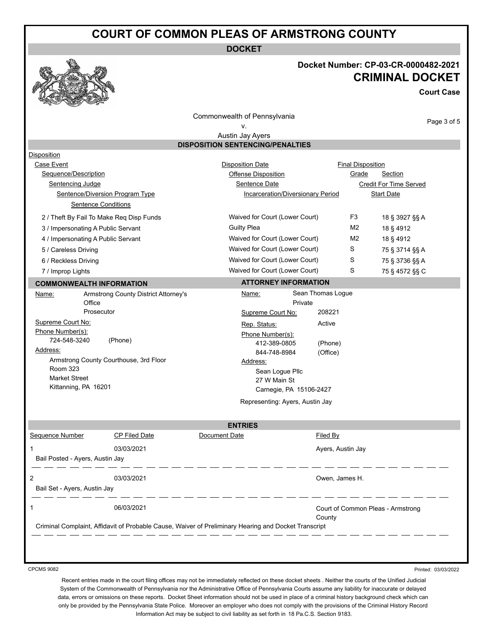# **COURT OF COMMON PLEAS OF ARMSTRONG COUNTY**

**DOCKET**

#### **Docket Number: CP-03-CR-0000482-2021 CRIMINAL DOCKET**

**Court Case**

Page 3 of 5

Commonwealth of Pennsylvania

#### v.

Austin Jay Ayers **DISPOSITION SENTENCING/PENALTIES**

| <b>Disposition</b>                                        |                                          |                                                                                                      |                                             |                        |
|-----------------------------------------------------------|------------------------------------------|------------------------------------------------------------------------------------------------------|---------------------------------------------|------------------------|
| Case Event                                                |                                          | <b>Disposition Date</b>                                                                              | <b>Final Disposition</b>                    |                        |
| Sequence/Description                                      |                                          | Offense Disposition                                                                                  | Grade                                       | Section                |
| Sentencing Judge                                          |                                          | <b>Sentence Date</b>                                                                                 |                                             | Credit For Time Served |
|                                                           | Sentence/Diversion Program Type          | Incarceration/Diversionary Period                                                                    |                                             | <b>Start Date</b>      |
|                                                           | <b>Sentence Conditions</b>               |                                                                                                      |                                             |                        |
|                                                           | 2 / Theft By Fail To Make Reg Disp Funds | Waived for Court (Lower Court)                                                                       | F <sub>3</sub>                              | 18 § 3927 §§ A         |
| 3 / Impersonating A Public Servant                        |                                          | <b>Guilty Plea</b>                                                                                   | M <sub>2</sub>                              | 18 § 4912              |
| 4 / Impersonating A Public Servant                        |                                          | Waived for Court (Lower Court)                                                                       | M <sub>2</sub>                              | 18 § 4912              |
| 5 / Careless Driving                                      |                                          | Waived for Court (Lower Court)                                                                       | S                                           | 75 § 3714 §§ A         |
| 6 / Reckless Driving                                      |                                          | Waived for Court (Lower Court)                                                                       | S                                           | 75 § 3736 §§ A         |
| 7 / Improp Lights                                         |                                          | Waived for Court (Lower Court)                                                                       | S                                           | 75 § 4572 §§ C         |
| <b>COMMONWEALTH INFORMATION</b>                           |                                          | <b>ATTORNEY INFORMATION</b>                                                                          |                                             |                        |
| Name:                                                     | Armstrong County District Attorney's     | Name:                                                                                                | Sean Thomas Logue                           |                        |
| Office                                                    |                                          | Private                                                                                              |                                             |                        |
|                                                           | Prosecutor                               | Supreme Court No:                                                                                    | 208221                                      |                        |
| Supreme Court No:                                         |                                          | Rep. Status:                                                                                         | Active                                      |                        |
| Phone Number(s):                                          |                                          | Phone Number(s):                                                                                     |                                             |                        |
| 724-548-3240<br>Address:                                  | (Phone)                                  | 412-389-0805                                                                                         | (Phone)                                     |                        |
|                                                           |                                          | 844-748-8984                                                                                         | (Office)                                    |                        |
| Armstrong County Courthouse, 3rd Floor<br><b>Room 323</b> |                                          | Address:<br>Sean Loque Pllc                                                                          |                                             |                        |
| Market Street                                             |                                          | 27 W Main St                                                                                         |                                             |                        |
| Kittanning, PA 16201                                      |                                          | Carnegie, PA 15106-2427                                                                              |                                             |                        |
|                                                           |                                          | Representing: Ayers, Austin Jay                                                                      |                                             |                        |
|                                                           |                                          |                                                                                                      |                                             |                        |
|                                                           |                                          | <b>ENTRIES</b>                                                                                       |                                             |                        |
| Sequence Number                                           | <b>CP Filed Date</b>                     | Document Date                                                                                        | Filed By                                    |                        |
| $\mathbf{1}$                                              | 03/03/2021                               |                                                                                                      | Ayers, Austin Jay                           |                        |
| Bail Posted - Ayers, Austin Jay                           |                                          |                                                                                                      |                                             |                        |
| $\overline{2}$<br>03/03/2021                              |                                          |                                                                                                      | Owen, James H.                              |                        |
| Bail Set - Ayers, Austin Jay                              |                                          |                                                                                                      |                                             |                        |
| $\mathbf{1}$                                              | 06/03/2021                               |                                                                                                      |                                             |                        |
|                                                           |                                          |                                                                                                      | Court of Common Pleas - Armstrong<br>County |                        |
|                                                           |                                          | Criminal Complaint, Affidavit of Probable Cause, Waiver of Preliminary Hearing and Docket Transcript |                                             |                        |

CPCMS 9082

Printed: 03/03/2022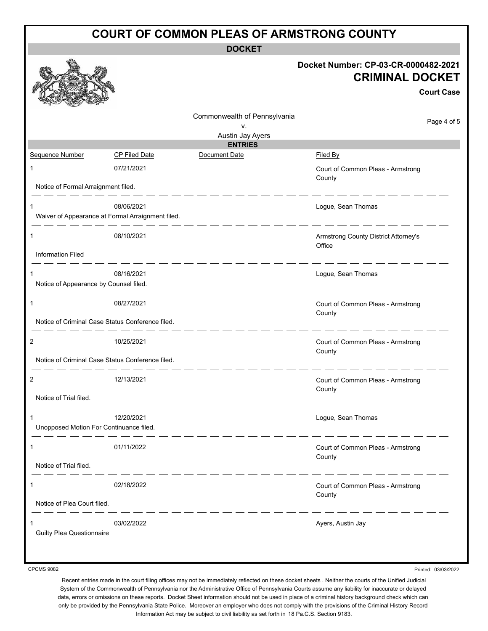|                                             |                                                                 | <b>COURT OF COMMON PLEAS OF ARMSTRONG COUNTY</b> |                                                                                     |
|---------------------------------------------|-----------------------------------------------------------------|--------------------------------------------------|-------------------------------------------------------------------------------------|
|                                             |                                                                 | <b>DOCKET</b>                                    |                                                                                     |
|                                             |                                                                 |                                                  | Docket Number: CP-03-CR-0000482-2021<br><b>CRIMINAL DOCKET</b><br><b>Court Case</b> |
|                                             |                                                                 | Commonwealth of Pennsylvania                     | Page 4 of 5                                                                         |
|                                             |                                                                 | ٧.<br>Austin Jay Ayers                           |                                                                                     |
|                                             |                                                                 | <b>ENTRIES</b>                                   |                                                                                     |
| Sequence Number                             | <b>CP Filed Date</b>                                            | Document Date                                    | <b>Filed By</b>                                                                     |
| 1                                           | 07/21/2021                                                      |                                                  | Court of Common Pleas - Armstrong<br>County                                         |
| Notice of Formal Arraignment filed.         |                                                                 |                                                  |                                                                                     |
| 1                                           | 08/06/2021<br>Waiver of Appearance at Formal Arraignment filed. |                                                  | Logue, Sean Thomas                                                                  |
| 1                                           | 08/10/2021                                                      |                                                  | Armstrong County District Attorney's<br>Office                                      |
| <b>Information Filed</b>                    |                                                                 |                                                  |                                                                                     |
| 1<br>Notice of Appearance by Counsel filed. | 08/16/2021                                                      |                                                  | Logue, Sean Thomas                                                                  |
| 1                                           | 08/27/2021                                                      |                                                  | Court of Common Pleas - Armstrong<br>County                                         |
|                                             | Notice of Criminal Case Status Conference filed.                |                                                  |                                                                                     |
| $\overline{2}$                              | 10/25/2021                                                      |                                                  | Court of Common Pleas - Armstrong<br>County                                         |
|                                             | Notice of Criminal Case Status Conference filed.                |                                                  |                                                                                     |
|                                             | 12/13/2021                                                      |                                                  | Court of Common Pleas - Armstrong<br>County                                         |
| Notice of Trial filed.                      |                                                                 |                                                  |                                                                                     |
| Unopposed Motion For Continuance filed.     | 12/20/2021                                                      |                                                  | Logue, Sean Thomas                                                                  |
| 1                                           | 01/11/2022                                                      |                                                  | Court of Common Pleas - Armstrong<br>County                                         |
| Notice of Trial filed.                      |                                                                 |                                                  |                                                                                     |
|                                             | 02/18/2022                                                      |                                                  | Court of Common Pleas - Armstrong<br>County                                         |
| Notice of Plea Court filed.                 |                                                                 |                                                  |                                                                                     |
| <b>Guilty Plea Questionnaire</b>            | 03/02/2022                                                      |                                                  | Ayers, Austin Jay                                                                   |
|                                             |                                                                 |                                                  |                                                                                     |

CPCMS 9082

Printed: 03/03/2022